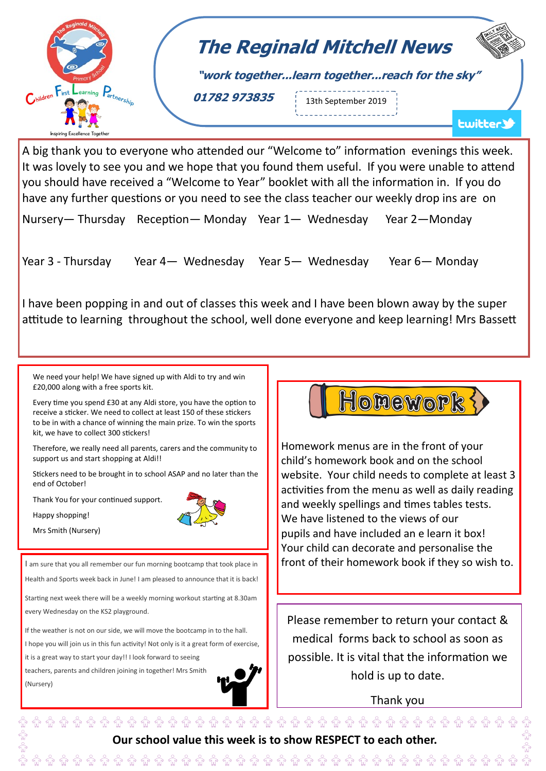

A big thank you to everyone who attended our "Welcome to" information evenings this week. It was lovely to see you and we hope that you found them useful. If you were unable to attend you should have received a "Welcome to Year" booklet with all the information in. If you do have any further questions or you need to see the class teacher our weekly drop ins are on

Nursery— Thursday Reception— Monday Year 1— Wednesday Year 2—Monday

Year 3 - Thursday Year 4— Wednesday Year 5— Wednesday Year 6— Monday

I have been popping in and out of classes this week and I have been blown away by the super attitude to learning throughout the school, well done everyone and keep learning! Mrs Bassett

We need your help! We have signed up with Aldi to try and win £20,000 along with a free sports kit.

Every time you spend £30 at any Aldi store, you have the option to receive a sticker. We need to collect at least 150 of these stickers to be in with a chance of winning the main prize. To win the sports kit, we have to collect 300 stickers!

Therefore, we really need all parents, carers and the community to support us and start shopping at Aldi!!

Stickers need to be brought in to school ASAP and no later than the end of October!

Thank You for your continued support.



Mrs Smith (Nursery)

I am sure that you all remember our fun morning bootcamp that took place in

Health and Sports week back in June! I am pleased to announce that it is back!

Starting next week there will be a weekly morning workout starting at 8.30am every Wednesday on the KS2 playground.

If the weather is not on our side, we will move the bootcamp in to the hall. I hope you will join us in this fun activity! Not only is it a great form of exercise, it is a great way to start your day!! I look forward to seeing teachers, parents and children joining in together! Mrs Smith (Nursery)





Homework menus are in the front of your child's homework book and on the school website. Your child needs to complete at least 3 activities from the menu as well as daily reading and weekly spellings and times tables tests. We have listened to the views of our pupils and have included an e learn it box! Your child can decorate and personalise the front of their homework book if they so wish to.

Please remember to return your contact & medical forms back to school as soon as possible. It is vital that the information we hold is up to date.

Thank you

 $\hat{\mathbb{G}}$   $\hat{\mathbb{G}}$   $\hat{\mathbb{G}}$   $\hat{\mathbb{G}}$   $\hat{\mathbb{G}}$   $\hat{\mathbb{G}}$   $\hat{\mathbb{G}}$   $\hat{\mathbb{G}}$   $\hat{\mathbb{G}}$   $\hat{\mathbb{G}}$   $\hat{\mathbb{G}}$   $\hat{\mathbb{G}}$   $\hat{\mathbb{G}}$   $\hat{\mathbb{G}}$   $\hat{\mathbb{G}}$   $\hat{\mathbb{G}}$   $\hat{\mathbb{G}}$   $\hat{\mathbb{G}}$   $\hat{\mathbb{G}}$   $\hat{\mathbb{G}}$  **Our school value this week is to show RESPECT to each other.**